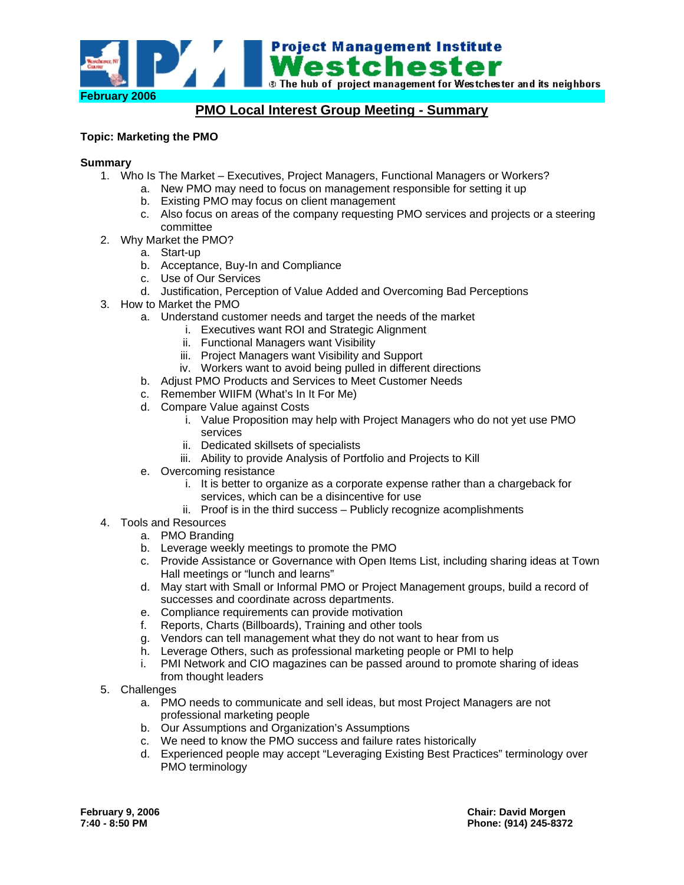

# **PMO Local Interest Group Meeting - Summary**

# **Topic: Marketing the PMO**

#### **Summary**

- 1. Who Is The Market Executives, Project Managers, Functional Managers or Workers?
	- a. New PMO may need to focus on management responsible for setting it up
	- b. Existing PMO may focus on client management
	- c. Also focus on areas of the company requesting PMO services and projects or a steering committee
- 2. Why Market the PMO?
	- a. Start-up
	- b. Acceptance, Buy-In and Compliance
	- c. Use of Our Services
	- d. Justification, Perception of Value Added and Overcoming Bad Perceptions
- 3. How to Market the PMO
	- a. Understand customer needs and target the needs of the market
		- i. Executives want ROI and Strategic Alignment
		- ii. Functional Managers want Visibility
		- iii. Project Managers want Visibility and Support
		- iv. Workers want to avoid being pulled in different directions
	- b. Adjust PMO Products and Services to Meet Customer Needs
	- c. Remember WIIFM (What's In It For Me)
	- d. Compare Value against Costs
		- i. Value Proposition may help with Project Managers who do not yet use PMO services
		- ii. Dedicated skillsets of specialists
		- iii. Ability to provide Analysis of Portfolio and Projects to Kill
	- e. Overcoming resistance
		- i. It is better to organize as a corporate expense rather than a chargeback for services, which can be a disincentive for use
		- ii. Proof is in the third success Publicly recognize acomplishments
- 4. Tools and Resources
	- a. PMO Branding
	- b. Leverage weekly meetings to promote the PMO
	- c. Provide Assistance or Governance with Open Items List, including sharing ideas at Town Hall meetings or "lunch and learns"
	- d. May start with Small or Informal PMO or Project Management groups, build a record of successes and coordinate across departments.
	- e. Compliance requirements can provide motivation
	- f. Reports, Charts (Billboards), Training and other tools
	- g. Vendors can tell management what they do not want to hear from us
	- h. Leverage Others, such as professional marketing people or PMI to help
	- i. PMI Network and CIO magazines can be passed around to promote sharing of ideas from thought leaders
- 5. Challenges
	- a. PMO needs to communicate and sell ideas, but most Project Managers are not professional marketing people
	- b. Our Assumptions and Organization's Assumptions
	- c. We need to know the PMO success and failure rates historically
	- d. Experienced people may accept "Leveraging Existing Best Practices" terminology over PMO terminology